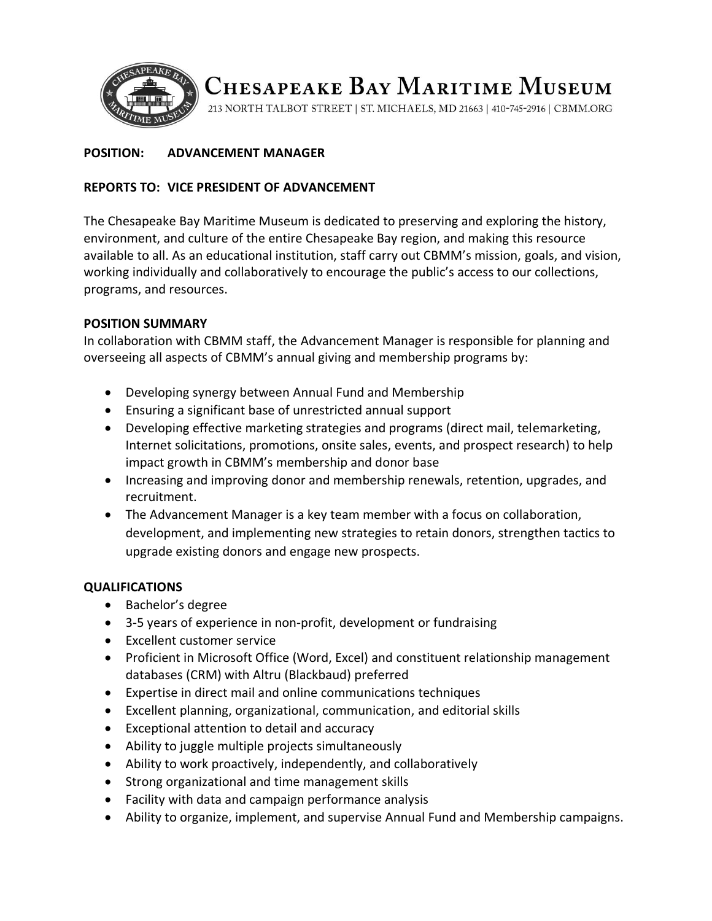

# CHESAPEAKE BAY MARITIME MUSEUM

213 NORTH TALBOT STREET | ST. MICHAELS, MD 21663 | 410-745-2916 | CBMM.ORG

# **POSITION: ADVANCEMENT MANAGER**

## **REPORTS TO: VICE PRESIDENT OF ADVANCEMENT**

The Chesapeake Bay Maritime Museum is dedicated to preserving and exploring the history, environment, and culture of the entire Chesapeake Bay region, and making this resource available to all. As an educational institution, staff carry out CBMM's mission, goals, and vision, working individually and collaboratively to encourage the public's access to our collections, programs, and resources.

### **POSITION SUMMARY**

In collaboration with CBMM staff, the Advancement Manager is responsible for planning and overseeing all aspects of CBMM's annual giving and membership programs by:

- Developing synergy between Annual Fund and Membership
- Ensuring a significant base of unrestricted annual support
- Developing effective marketing strategies and programs (direct mail, telemarketing, Internet solicitations, promotions, onsite sales, events, and prospect research) to help impact growth in CBMM's membership and donor base
- Increasing and improving donor and membership renewals, retention, upgrades, and recruitment.
- The Advancement Manager is a key team member with a focus on collaboration, development, and implementing new strategies to retain donors, strengthen tactics to upgrade existing donors and engage new prospects.

#### **QUALIFICATIONS**

- Bachelor's degree
- 3-5 years of experience in non-profit, development or fundraising
- Excellent customer service
- Proficient in Microsoft Office (Word, Excel) and constituent relationship management databases (CRM) with Altru (Blackbaud) preferred
- Expertise in direct mail and online communications techniques
- Excellent planning, organizational, communication, and editorial skills
- Exceptional attention to detail and accuracy
- Ability to juggle multiple projects simultaneously
- Ability to work proactively, independently, and collaboratively
- Strong organizational and time management skills
- Facility with data and campaign performance analysis
- Ability to organize, implement, and supervise Annual Fund and Membership campaigns.